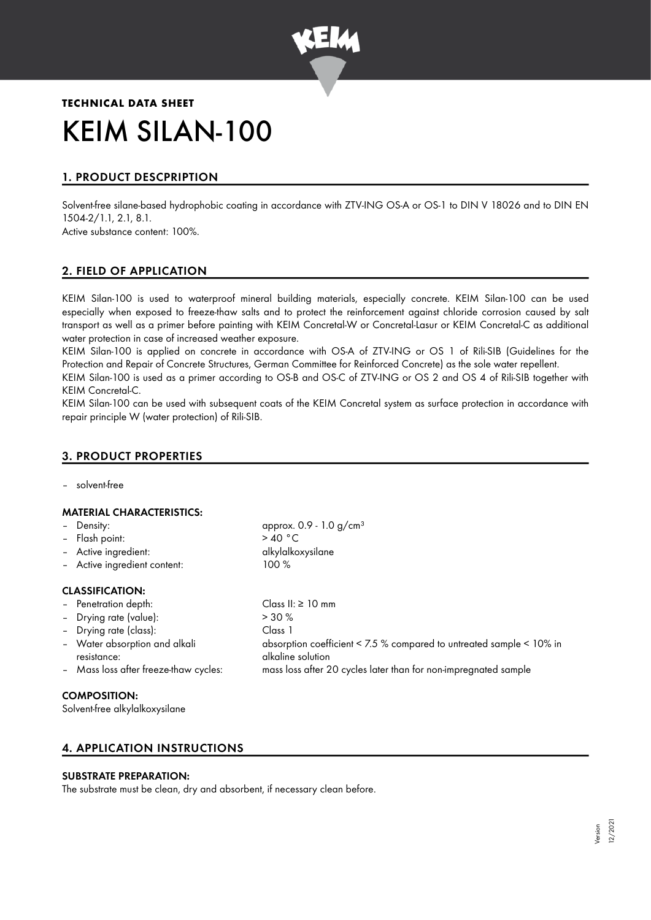

# **TECHNICAL DATA SHEET** KEIM SILAN-100

# 1. PRODUCT DESCPRIPTION

Solvent-free silane-based hydrophobic coating in accordance with ZTV-ING OS-A or OS-1 to DIN V 18026 and to DIN EN 1504-2/1.1, 2.1, 8.1.

Active substance content: 100%.

# 2. FIELD OF APPLICATION

KEIM Silan-100 is used to waterproof mineral building materials, especially concrete. KEIM Silan-100 can be used especially when exposed to freeze-thaw salts and to protect the reinforcement against chloride corrosion caused by salt transport as well as a primer before painting with KEIM Concretal-W or Concretal-Lasur or KEIM Concretal-C as additional water protection in case of increased weather exposure.

KEIM Silan-100 is applied on concrete in accordance with OS-A of ZTV-ING or OS 1 of Rili-SIB (Guidelines for the Protection and Repair of Concrete Structures, German Committee for Reinforced Concrete) as the sole water repellent.

KEIM Silan-100 is used as a primer according to OS-B and OS-C of ZTV-ING or OS 2 and OS 4 of Rili-SIB together with KEIM Concretal-C.

KEIM Silan-100 can be used with subsequent coats of the KEIM Concretal system as surface protection in accordance with repair principle W (water protection) of Rili-SIB.

# 3. PRODUCT PROPERTIES

– solvent-free

#### MATERIAL CHARACTERISTICS:

| - Density:                                                                            | approx. $0.9 - 1.0$ g/cm <sup>3</sup> |
|---------------------------------------------------------------------------------------|---------------------------------------|
| - Flash point:                                                                        | >40 °C                                |
| - Active ingredient:                                                                  | alkylalkoxysilane                     |
| - Active ingredient content:                                                          | $100 \%$                              |
| <b>CLASSIFICATION:</b><br>- Penetration depth:<br>$\overline{ }$ Drving rate (value): | Class II: $\geq$ 10 mm<br>$> 30\%$    |

| $-$ Diving rule (vulue).              | - 9976                                                               |
|---------------------------------------|----------------------------------------------------------------------|
| - Drying rate (class):                | Class 1                                                              |
| - Water absorption and alkali         | absorption coefficient < 7.5 % compared to untreated sample < 10% in |
| resistance:                           | alkaline solution                                                    |
| - Mass loss after freeze-thaw cycles: | mass loss after 20 cycles later than for non-impregnated sample      |
|                                       |                                                                      |

#### COMPOSITION:

Solvent-free alkylalkoxysilane

# 4. APPLICATION INSTRUCTIONS

#### SUBSTRATE PREPARATION:

The substrate must be clean, dry and absorbent, if necessary clean before.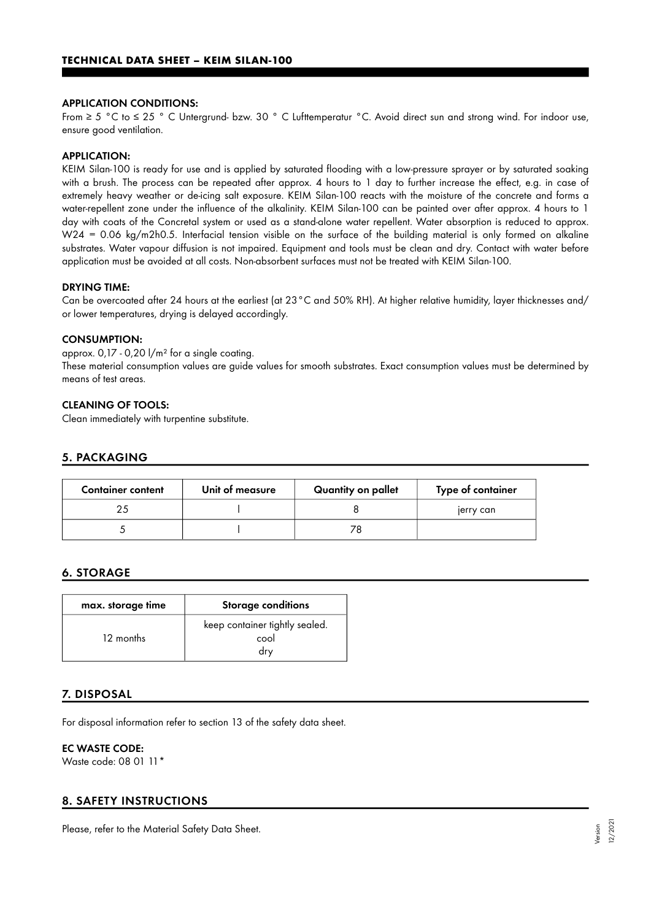#### APPLICATION CONDITIONS:

From ≥ 5 °C to ≤ 25 ° C Untergrund- bzw. 30 ° C Lufttemperatur °C. Avoid direct sun and strong wind. For indoor use, ensure good ventilation.

#### APPLICATION:

KEIM Silan-100 is ready for use and is applied by saturated flooding with a low-pressure sprayer or by saturated soaking with a brush. The process can be repeated after approx. 4 hours to 1 day to further increase the effect, e.g. in case of extremely heavy weather or de-icing salt exposure. KEIM Silan-100 reacts with the moisture of the concrete and forms a water-repellent zone under the influence of the alkalinity. KEIM Silan-100 can be painted over after approx. 4 hours to 1 day with coats of the Concretal system or used as a stand-alone water repellent. Water absorption is reduced to approx. W24 = 0.06 kg/m2h0.5. Interfacial tension visible on the surface of the building material is only formed on alkaline substrates. Water vapour diffusion is not impaired. Equipment and tools must be clean and dry. Contact with water before application must be avoided at all costs. Non-absorbent surfaces must not be treated with KEIM Silan-100.

#### DRYING TIME:

Can be overcoated after 24 hours at the earliest (at 23°C and 50% RH). At higher relative humidity, layer thicknesses and/ or lower temperatures, drying is delayed accordingly.

#### CONSUMPTION:

approx.  $0,17 - 0,20$   $1/m<sup>2</sup>$  for a single coating.

These material consumption values are guide values for smooth substrates. Exact consumption values must be determined by means of test areas.

#### CLEANING OF TOOLS:

Clean immediately with turpentine substitute.

#### 5. PACKAGING

| <b>Container content</b> | Unit of measure | Quantity on pallet | Type of container |
|--------------------------|-----------------|--------------------|-------------------|
|                          |                 |                    | jerry can         |
|                          |                 |                    |                   |

## 6. STORAGE

| max. storage time | <b>Storage conditions</b>                     |
|-------------------|-----------------------------------------------|
| 12 months         | keep container tightly sealed.<br>cool<br>drv |

## 7. DISPOSAL

For disposal information refer to section 13 of the safety data sheet.

### EC WASTE CODE:

Waste code: 08 01 11\*

## 8. SAFETY INSTRUCTIONS

Please, refer to the Material Safety Data Sheet.